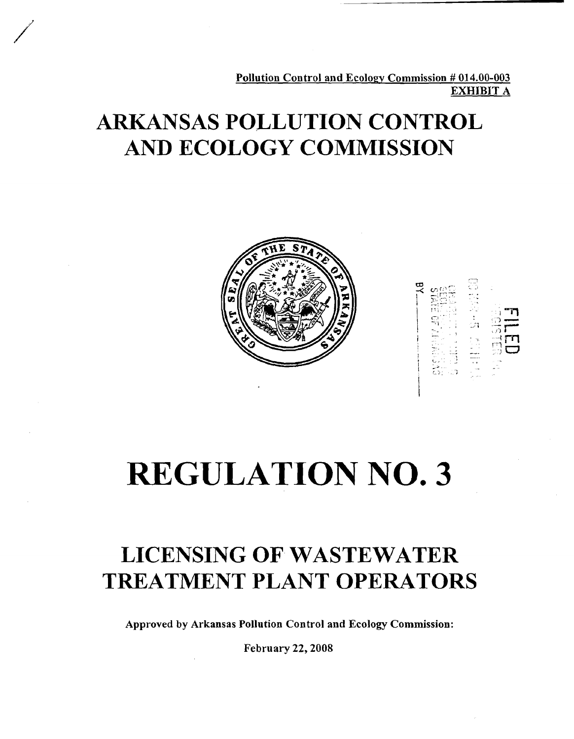Pollution Control and Ecology Commission # 014.00-003 **EXHIBIT A** 

## **ARKANSAS POLLUTION CONTROL AND ECOLOGY COMMISSION**





# **REGULATION NO. 3**

## **LICENSING OF WASTEWATER TREATMENT PLANT OPERATORS**

**Approved by Arkansas Pollution Control and Ecology Commission:** 

**February 22,2008**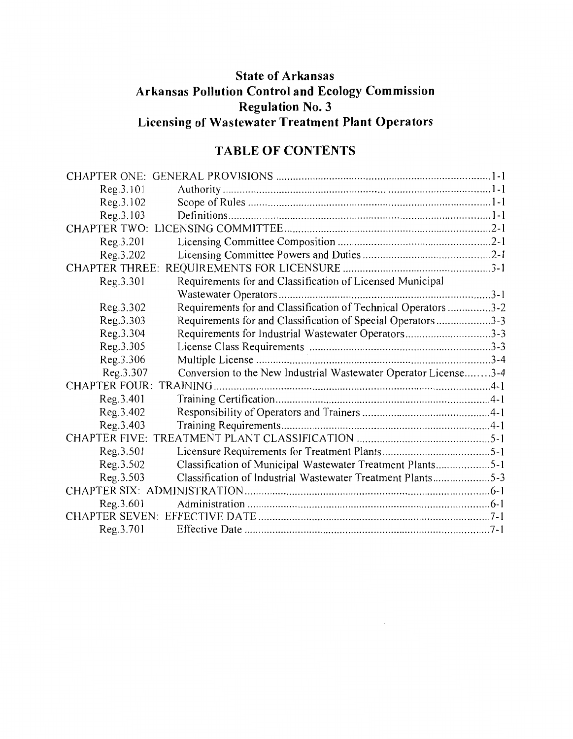### **State of Arkansas** Arkansas Pollution Control and Ecology Commission **Regulation No. 3** Licensing of Wastewater Treatment Plant Operators

### **TABLE OF CONTENTS**

| Reg.3.101             |                                                                 |  |
|-----------------------|-----------------------------------------------------------------|--|
| Reg.3.102             |                                                                 |  |
| Reg. 3.103            |                                                                 |  |
|                       |                                                                 |  |
| Reg.3.201             |                                                                 |  |
| Reg.3.202             |                                                                 |  |
| <b>CHAPTER THREE:</b> |                                                                 |  |
| Reg.3.301             | Requirements for and Classification of Licensed Municipal       |  |
|                       |                                                                 |  |
| Reg.3.302             | Requirements for and Classification of Technical Operators 3-2  |  |
| Reg.3.303             | Requirements for and Classification of Special Operators3-3     |  |
| Reg.3.304             | Requirements for Industrial Wastewater Operators3-3             |  |
| Reg.3.305             |                                                                 |  |
| Reg. 3.306            |                                                                 |  |
| Reg.3.307             | Conversion to the New Industrial Wastewater Operator License3-4 |  |
|                       |                                                                 |  |
| Reg. 3.401            |                                                                 |  |
| Reg.3.402             |                                                                 |  |
| Reg. 3.403            |                                                                 |  |
|                       |                                                                 |  |
| Reg.3.501             |                                                                 |  |
| Reg.3.502             | Classification of Municipal Wastewater Treatment Plants5-1      |  |
| Reg. 3.503            | Classification of Industrial Wastewater Treatment Plants5-3     |  |
|                       |                                                                 |  |
| Reg.3.601             |                                                                 |  |
|                       |                                                                 |  |
| Reg.3.701             |                                                                 |  |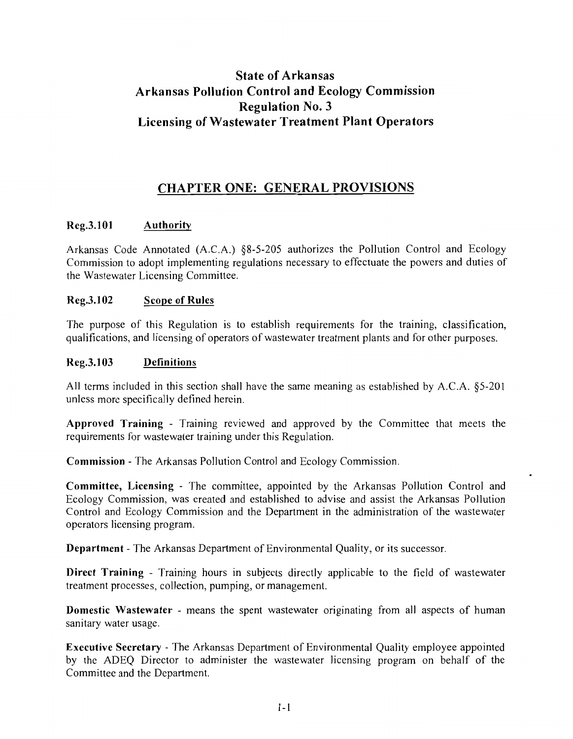### **State of Arkansas Arkansas Pollution Control and Ecology Commission Regulation No. 3 Licensing of Wastewater Treatment Plant Operators**

### **CHAPTER ONE: GENERAL PROVISIONS**

### Reg.3.101 Authority

Arkansas Code Annotated (A.C.A.) §8-5-205 authorizes the Pollution Control and Ecology Commission to adopt implementing regulations necessary to effectuate the powers and duties of the Wastewater Licensing Committee.

### **Scope of Rules** Reg.3.102

The purpose of this Regulation is to establish requirements for the training, classification, qualifications, and licensing of operators of wastewater treatment plants and for other purposes.

### Reg.3.103 Definitions

All terms included in this section shall have the same meaning as established by A.C.A. §5-201 unless more specifically defined herein.

Approved Training - Training reviewed and approved by the Committee that meets the requirements for wastewater training under this Regulation.

**Commission - The Arkansas Pollution Control and Ecology Commission.** 

Committee, Licensing - The committee, appointed by the Arkansas Pollution Control and Ecology Commission, was created and established to advise and assist the Arkansas Pollution Control and Ecology Commission and the Department in the administration of the wastewater operators licensing program.

**Department** - The Arkansas Department of Environmental Quality, or its successor.

Direct Training - Training hours in subjects directly applicable to the field of wastewater treatment processes, collection, pumping, or management.

**Domestic Wastewater** - means the spent wastewater originating from all aspects of human sanitary water usage.

**Executive Secretary** - The Arkansas Department of Environmental Quality employee appointed by the ADEQ Director to administer the wastewater licensing program on behalf of the Committee and the Department.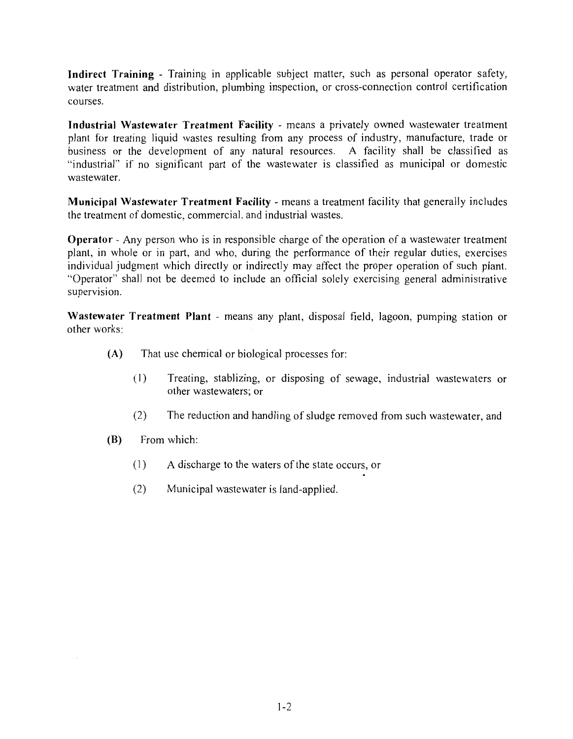Indirect Training - Training in applicable subject matter, such as personal operator safety, water treatment and distribution, plumbing inspection, or cross-connection control certification courses.

Industrial Wastewater Treatment Facility - means a privately owned wastewater treatment plant for treating liquid wastes resulting from any process of industry, manufacture, trade or business or the development of any natural resources. A facility shall be classified as "industrial" if no significant part of the wastewater is classified as municipal or domestic wastewater.

Municipal Wastewater Treatment Facility - means a treatment facility that generally includes the treatment of domestic, commercial, and industrial wastes.

**Operator** - Any person who is in responsible charge of the operation of a wastewater treatment plant, in whole or in part, and who, during the performance of their regular duties, exercises individual judgment which directly or indirectly may affect the proper operation of such plant. "Operator" shall not be deemed to include an official solely exercising general administrative supervision.

Wastewater Treatment Plant - means any plant, disposal field, lagoon, pumping station or other works:

- $(A)$ That use chemical or biological processes for:
	- $(1)$ Treating, stablizing, or disposing of sewage, industrial wastewaters or other wastewaters: or
	- $(2)$ The reduction and handling of sludge removed from such wastewater, and
- (B) From which:
	- $(1)$ A discharge to the waters of the state occurs, or
	- $(2)$ Municipal wastewater is land-applied.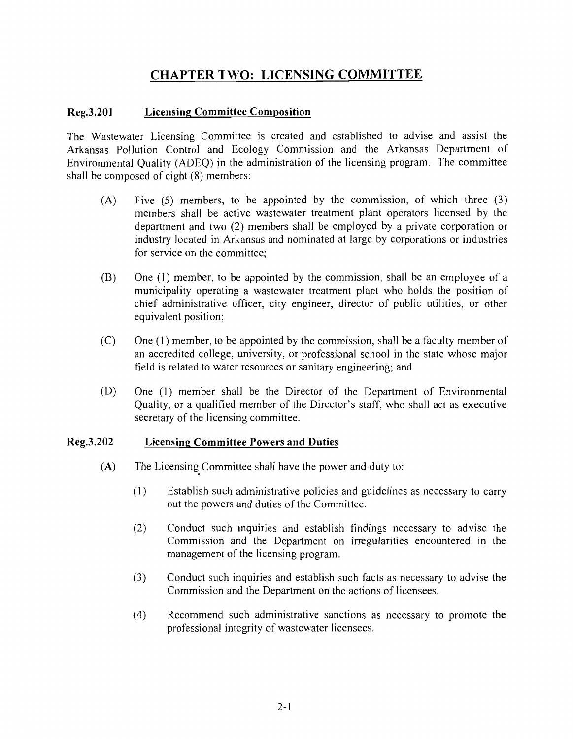### **CHAPTER TWO: LICENSING COMMITTEE**

### Reg.3.201 **Licensing Committee Composition**

The Wastewater Licensing Committee is created and established to advise and assist the Arkansas Pollution Control and Ecology Commission and the Arkansas Department of Environmental Quality (ADEQ) in the administration of the licensing program. The committee shall be composed of eight (8) members:

- $(A)$ Five  $(5)$  members, to be appointed by the commission, of which three  $(3)$ members shall be active wastewater treatment plant operators licensed by the department and two (2) members shall be employed by a private corporation or industry located in Arkansas and nominated at large by corporations or industries for service on the committee:
- (B) One (1) member, to be appointed by the commission, shall be an employee of a municipality operating a wastewater treatment plant who holds the position of chief administrative officer, city engineer, director of public utilities, or other equivalent position;
- $(C)$ One (1) member, to be appointed by the commission, shall be a faculty member of an accredited college, university, or professional school in the state whose major field is related to water resources or sanitary engineering; and
- (D) One (1) member shall be the Director of the Department of Environmental Quality, or a qualified member of the Director's staff, who shall act as executive secretary of the licensing committee.

### Reg.3.202 **Licensing Committee Powers and Duties**

- $(A)$ The Licensing Committee shall have the power and duty to:
	- $(1)$ Establish such administrative policies and guidelines as necessary to carry out the powers and duties of the Committee.
	- Conduct such inquiries and establish findings necessary to advise the  $(2)$ Commission and the Department on irregularities encountered in the management of the licensing program.
	- $(3)$ Conduct such inquiries and establish such facts as necessary to advise the Commission and the Department on the actions of licensees.
	- $(4)$ Recommend such administrative sanctions as necessary to promote the professional integrity of wastewater licensees.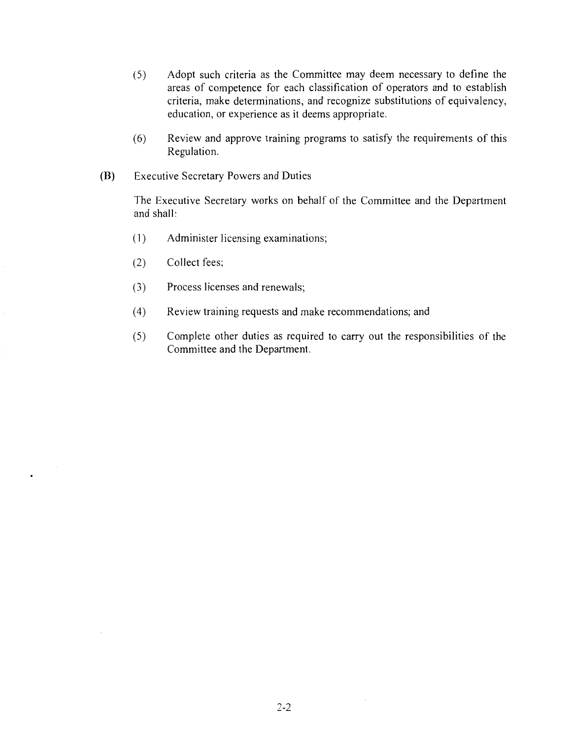- $(5)$ Adopt such criteria as the Committee may deem necessary to define the areas of competence for each classification of operators and to establish criteria, make determinations, and recognize substitutions of equivalency, education, or experience as it deems appropriate.
- $(6)$ Review and approve training programs to satisfy the requirements of this Regulation.
- (B) **Executive Secretary Powers and Duties**

The Executive Secretary works on behalf of the Committee and the Department and shall:

- Administer licensing examinations;  $(1)$
- Collect fees;  $(2)$
- $(3)$ Process licenses and renewals;
- $(4)$ Review training requests and make recommendations; and
- $(5)$ Complete other duties as required to carry out the responsibilities of the Committee and the Department.

 $\bar{z}$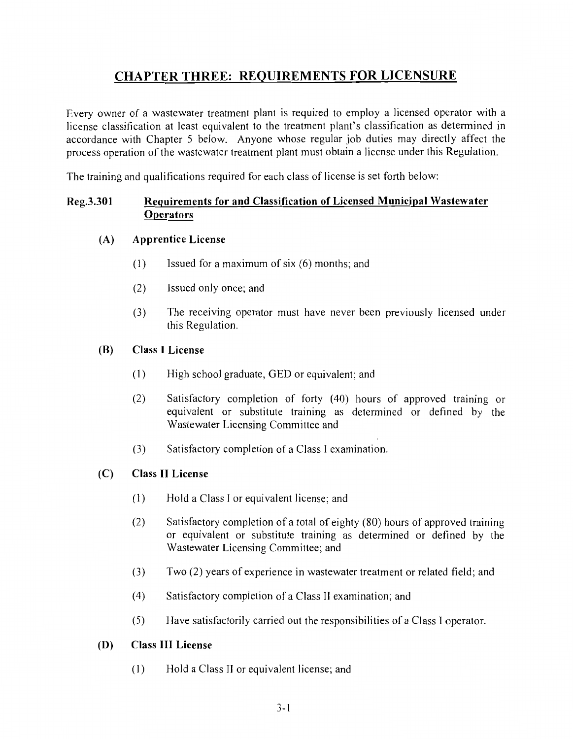### **CHAPTER THREE: REQUIREMENTS FOR LICENSURE**

Every owner of a wastewater treatment plant is required to employ a licensed operator with a license classification at least equivalent to the treatment plant's classification as determined in accordance with Chapter 5 below. Anyone whose regular job duties may directly affect the process operation of the wastewater treatment plant must obtain a license under this Regulation.

The training and qualifications required for each class of license is set forth below:

### Requirements for and Classification of Licensed Municipal Wastewater Reg.3.301 **Operators**

### **Apprentice License**  $(A)$

- $(1)$ Issued for a maximum of six (6) months: and
- $(2)$ Issued only once; and
- $(3)$ The receiving operator must have never been previously licensed under this Regulation.

### (B) **Class I License**

- $(1)$ High school graduate, GED or equivalent; and
- $(2)$ Satisfactory completion of forty (40) hours of approved training or equivalent or substitute training as determined or defined by the Wastewater Licensing Committee and
- $(3)$ Satisfactory completion of a Class I examination.

### **Class II License**  $(C)$

- $(1)$ Hold a Class I or equivalent license; and
- $(2)$ Satisfactory completion of a total of eighty (80) hours of approved training or equivalent or substitute training as determined or defined by the Wastewater Licensing Committee; and
- $(3)$ Two (2) years of experience in wastewater treatment or related field; and
- $(4)$ Satisfactory completion of a Class II examination; and
- $(5)$ Have satisfactorily carried out the responsibilities of a Class I operator.

### **Class III License** (D)

 $(1)$ Hold a Class II or equivalent license; and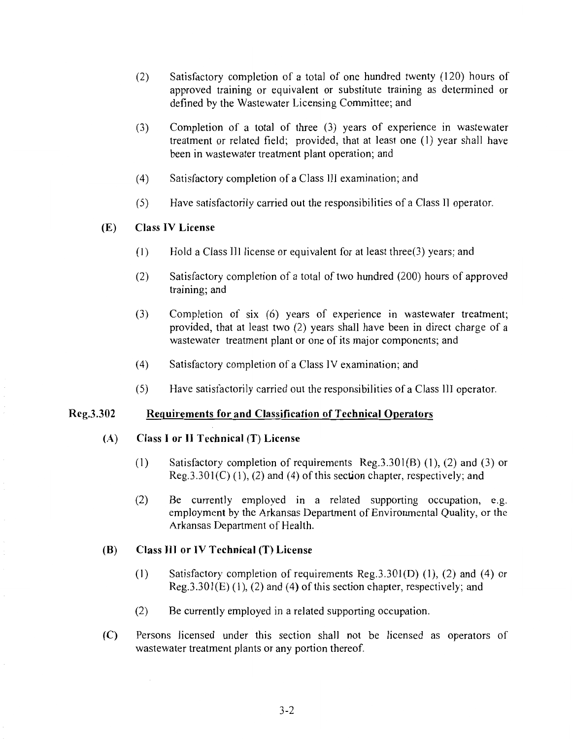- Satisfactory completion of a total of one hundred twenty (120) hours of  $(2)$ approved training or equivalent or substitute training as determined or defined by the Wastewater Licensing Committee; and
- $(3)$ Completion of a total of three  $(3)$  years of experience in wastewater treatment or related field; provided, that at least one (1) year shall have been in wastewater treatment plant operation; and
- $(4)$ Satisfactory completion of a Class III examination; and
- $(5)$ Have satisfactorily carried out the responsibilities of a Class II operator.

### **Class IV License**  $(E)$

- Hold a Class III license or equivalent for at least three $(3)$  years; and  $(1)$
- $(2)$ Satisfactory completion of a total of two hundred (200) hours of approved training; and
- $(3)$ Completion of six (6) years of experience in wastewater treatment; provided, that at least two (2) years shall have been in direct charge of a wastewater treatment plant or one of its major components; and
- $(4)$ Satisfactory completion of a Class IV examination; and
- $(5)$ Have satisfactorily carried out the responsibilities of a Class III operator.

#### Reg.3.302 **Requirements for and Classification of Technical Operators**

#### $(A)$ Class I or II Technical (T) License

- $(1)$ Satisfactory completion of requirements Reg.  $3.301(B)$  (1), (2) and (3) or  $Reg.3.301(C)$  (1), (2) and (4) of this section chapter, respectively; and
- $(2)$ Be currently employed in a related supporting occupation, e.g. employment by the Arkansas Department of Environmental Quality, or the Arkansas Department of Health.

#### $(B)$ Class III or IV Technical (T) License

- $(1)$ Satisfactory completion of requirements  $Reg. 3.301(D)$  (1), (2) and (4) or  $Reg.3.301(E)$  (1), (2) and (4) of this section chapter, respectively; and
- $(2)$ Be currently employed in a related supporting occupation.
- Persons licensed under this section shall not be licensed as operators of  $(C)$ wastewater treatment plants or any portion thereof.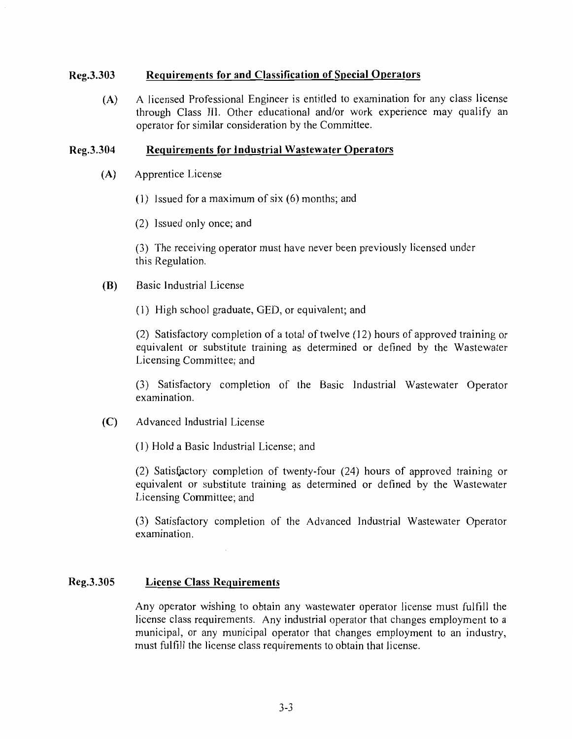### Reg.3.303 **Requirements for and Classification of Special Operators**

A licensed Professional Engineer is entitled to examination for any class license  $(A)$ through Class III. Other educational and/or work experience may qualify an operator for similar consideration by the Committee.

### Reg.3.304 **Requirements for Industrial Wastewater Operators**

- $(A)$ Apprentice License
	- (1) Issued for a maximum of six  $(6)$  months; and
	- (2) Issued only once; and

(3) The receiving operator must have never been previously licensed under this Regulation.

- **Basic Industrial License** (B)
	- (1) High school graduate, GED, or equivalent; and

(2) Satisfactory completion of a total of twelve (12) hours of approved training or equivalent or substitute training as determined or defined by the Wastewater Licensing Committee; and

(3) Satisfactory completion of the Basic Industrial Wastewater Operator examination.

 $(C)$ Advanced Industrial License

(1) Hold a Basic Industrial License; and

(2) Satisfactory completion of twenty-four (24) hours of approved training or equivalent or substitute training as determined or defined by the Wastewater Licensing Committee; and

(3) Satisfactory completion of the Advanced Industrial Wastewater Operator examination.

### Reg.3.305 **License Class Requirements**

Any operator wishing to obtain any wastewater operator license must fulfill the license class requirements. Any industrial operator that changes employment to a municipal, or any municipal operator that changes employment to an industry, must fulfill the license class requirements to obtain that license.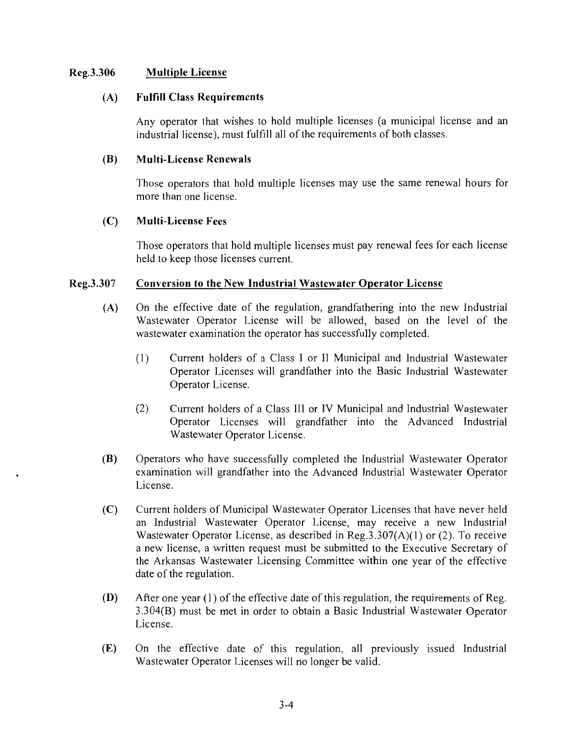### Reg.3.306 **Multiple License**

### **Fulfill Class Requirements**  $(A)$

Any operator that wishes to hold multiple licenses (a municipal license and an industrial license), must fulfill all of the requirements of both classes.

#### (B) **Multi-License Renewals**

Those operators that hold multiple licenses may use the same renewal hours for more than one license.

### $(C)$ **Multi-License Fees**

Those operators that hold multiple licenses must pay renewal fees for each license held to keep those licenses current.

### Conversion to the New Industrial Wastewater Operator License Reg.3.307

- On the effective date of the regulation, grandfathering into the new Industrial  $(A)$ Wastewater Operator License will be allowed, based on the level of the wastewater examination the operator has successfully completed.
	- Current holders of a Class I or II Municipal and Industrial Wastewater  $(1)$ Operator Licenses will grandfather into the Basic Industrial Wastewater Operator License.
	- $(2)$ Current holders of a Class III or IV Municipal and Industrial Wastewater Operator Licenses will grandfather into the Advanced Industrial Wastewater Operator License.
- **(B)** Operators who have successfully completed the Industrial Wastewater Operator examination will grandfather into the Advanced Industrial Wastewater Operator License.
- Current holders of Municipal Wastewater Operator Licenses that have never held  $(C)$ an Industrial Wastewater Operator License, may receive a new Industrial Wastewater Operator License, as described in Reg.  $3.307(A)(1)$  or (2). To receive a new license, a written request must be submitted to the Executive Secretary of the Arkansas Wastewater Licensing Committee within one year of the effective date of the regulation.
- After one year (1) of the effective date of this regulation, the requirements of Reg. (D) 3.304(B) must be met in order to obtain a Basic Industrial Wastewater Operator License.
- $(E)$ On the effective date of this regulation, all previously issued Industrial Wastewater Operator Licenses will no longer be valid.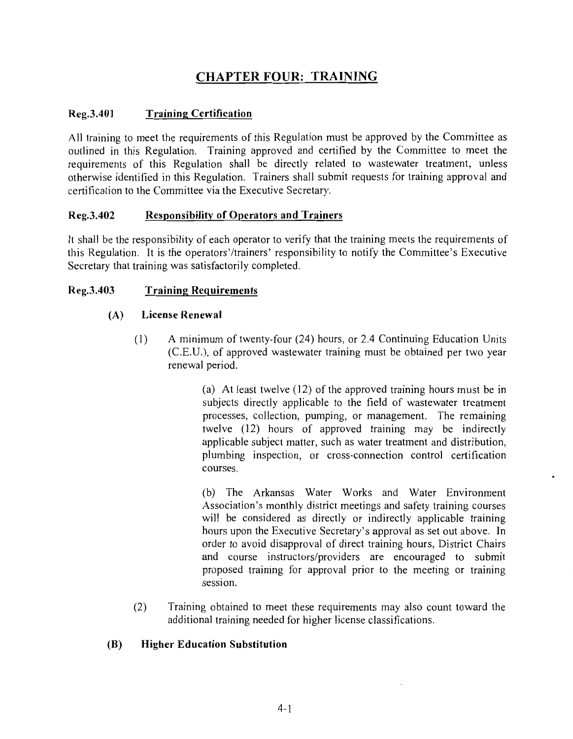### **CHAPTER FOUR: TRAINING**

### Reg.3.401 **Training Certification**

All training to meet the requirements of this Regulation must be approved by the Committee as outlined in this Regulation. Training approved and certified by the Committee to meet the requirements of this Regulation shall be directly related to wastewater treatment, unless otherwise identified in this Regulation. Trainers shall submit requests for training approval and certification to the Committee via the Executive Secretary.

### **Responsibility of Operators and Trainers** Reg.3.402

It shall be the responsibility of each operator to verify that the training meets the requirements of this Regulation. It is the operators'/trainers' responsibility to notify the Committee's Executive Secretary that training was satisfactorily completed.

### Reg.3.403 **Training Requirements**

### $(A)$ **License Renewal**

 $(1)$ A minimum of twenty-four (24) hours, or 2.4 Continuing Education Units (C.E.U.), of approved wastewater training must be obtained per two year renewal period.

> (a) At least twelve (12) of the approved training hours must be in subjects directly applicable to the field of wastewater treatment processes, collection, pumping, or management. The remaining twelve (12) hours of approved training may be indirectly applicable subject matter, such as water treatment and distribution, plumbing inspection, or cross-connection control certification courses.

> (b) The Arkansas Water Works and Water Environment Association's monthly district meetings and safety training courses will be considered as directly or indirectly applicable training hours upon the Executive Secretary's approval as set out above. In order to avoid disapproval of direct training hours, District Chairs and course instructors/providers are encouraged to submit proposed training for approval prior to the meeting or training session

Training obtained to meet these requirements may also count toward the  $(2)$ additional training needed for higher license classifications.

### (B) **Higher Education Substitution**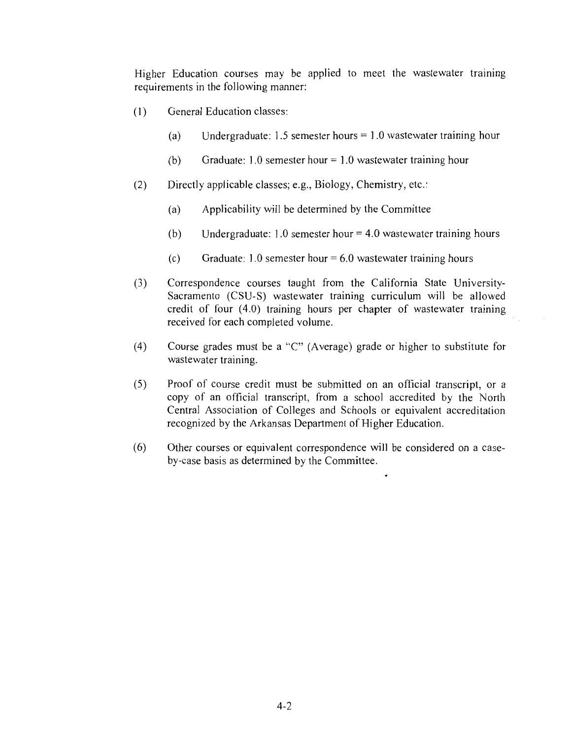Higher Education courses may be applied to meet the wastewater training requirements in the following manner:

- General Education classes:  $(1)$ 
	- Undergraduate: 1.5 semester hours  $= 1.0$  wastewater training hour  $(a)$
	- Graduate: 1.0 semester hour =  $1.0$  wastewater training hour  $(b)$
- $(2)$ Directly applicable classes; e.g., Biology, Chemistry, etc.:
	- Applicability will be determined by the Committee  $(a)$
	- Undergraduate: 1.0 semester hour  $=$  4.0 wastewater training hours  $(b)$
	- $(c)$ Graduate: 1.0 semester hour =  $6.0$  wastewater training hours
- $(3)$ Correspondence courses taught from the California State University-Sacramento (CSU-S) wastewater training curriculum will be allowed credit of four (4.0) training hours per chapter of wastewater training received for each completed volume.
- Course grades must be a "C" (Average) grade or higher to substitute for  $(4)$ wastewater training.
- Proof of course credit must be submitted on an official transcript, or a  $(5)$ copy of an official transcript, from a school accredited by the North Central Association of Colleges and Schools or equivalent accreditation recognized by the Arkansas Department of Higher Education.
- $(6)$ Other courses or equivalent correspondence will be considered on a caseby-case basis as determined by the Committee.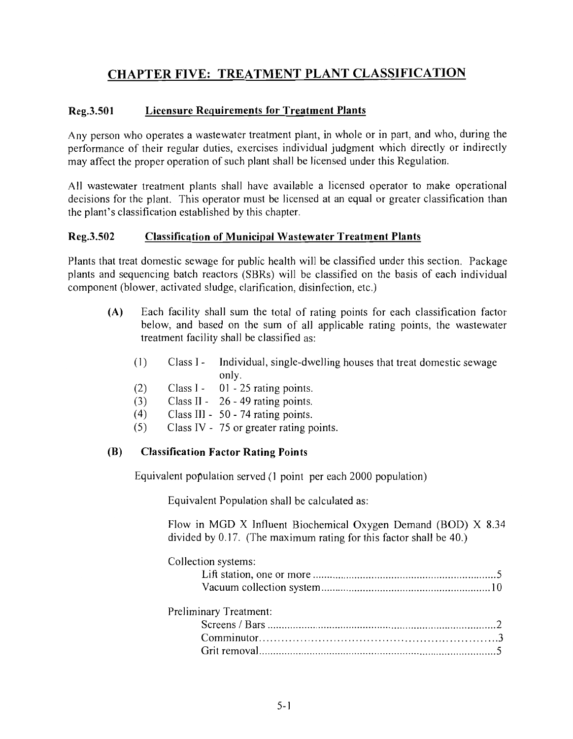### **CHAPTER FIVE: TREATMENT PLANT CLASSIFICATION**

### **Licensure Requirements for Treatment Plants** Reg.3.501

Any person who operates a wastewater treatment plant, in whole or in part, and who, during the performance of their regular duties, exercises individual judgment which directly or indirectly may affect the proper operation of such plant shall be licensed under this Regulation.

All wastewater treatment plants shall have available a licensed operator to make operational decisions for the plant. This operator must be licensed at an equal or greater classification than the plant's classification established by this chapter.

### Reg.3.502 **Classification of Municipal Wastewater Treatment Plants**

Plants that treat domestic sewage for public health will be classified under this section. Package plants and sequencing batch reactors (SBRs) will be classified on the basis of each individual component (blower, activated sludge, clarification, disinfection, etc.)

- $(A)$ Each facility shall sum the total of rating points for each classification factor below, and based on the sum of all applicable rating points, the wastewater treatment facility shall be classified as:
	- $(1)$  $Class I -$ Individual, single-dwelling houses that treat domestic sewage only.
	- $Class I -$ 01 - 25 rating points.  $(2)$
	- Class II  $26 49$  rating points.  $(3)$
	- $(4)$ Class III - 50 - 74 rating points.
	- $(5)$ Class IV - 75 or greater rating points.

### (B) **Classification Factor Rating Points**

Equivalent population served (1 point per each 2000 population)

Equivalent Population shall be calculated as:

Flow in MGD X Influent Biochemical Oxygen Demand (BOD) X 8.34 divided by 0.17. (The maximum rating for this factor shall be 40.)

| Collection systems: |  |
|---------------------|--|
|                     |  |
|                     |  |
|                     |  |

| Preliminary Treatment: |  |
|------------------------|--|
|                        |  |
|                        |  |
|                        |  |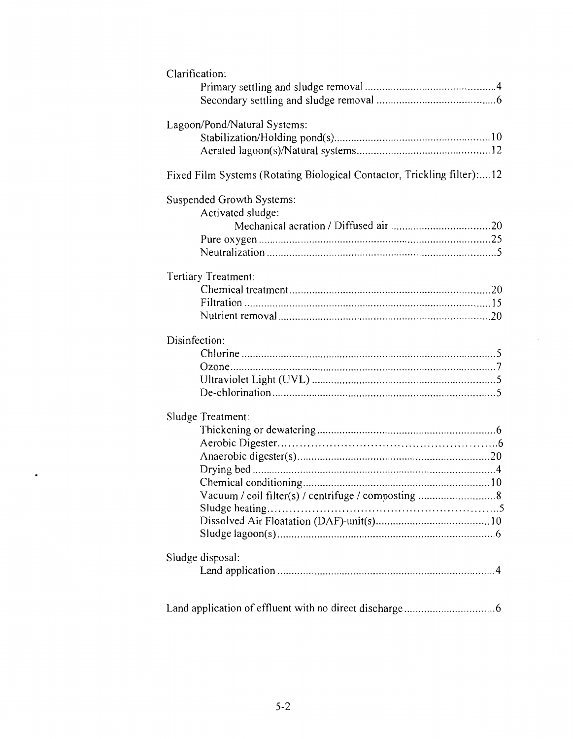| Clarification:                                                          |
|-------------------------------------------------------------------------|
|                                                                         |
|                                                                         |
| Lagoon/Pond/Natural Systems:                                            |
|                                                                         |
|                                                                         |
| Fixed Film Systems (Rotating Biological Contactor, Trickling filter):12 |
| Suspended Growth Systems:                                               |
| Activated sludge:                                                       |
|                                                                         |
|                                                                         |
|                                                                         |
| Tertiary Treatment:                                                     |
|                                                                         |
|                                                                         |
|                                                                         |
| Disinfection:                                                           |
|                                                                         |
|                                                                         |
|                                                                         |
|                                                                         |
| Sludge Treatment:                                                       |
|                                                                         |
|                                                                         |
|                                                                         |
|                                                                         |
|                                                                         |
| Vacuum / coil filter(s) / centrifuge / composting 8                     |
| Sludge heating                                                          |
|                                                                         |
|                                                                         |
| Sludge disposal:                                                        |
|                                                                         |
|                                                                         |
|                                                                         |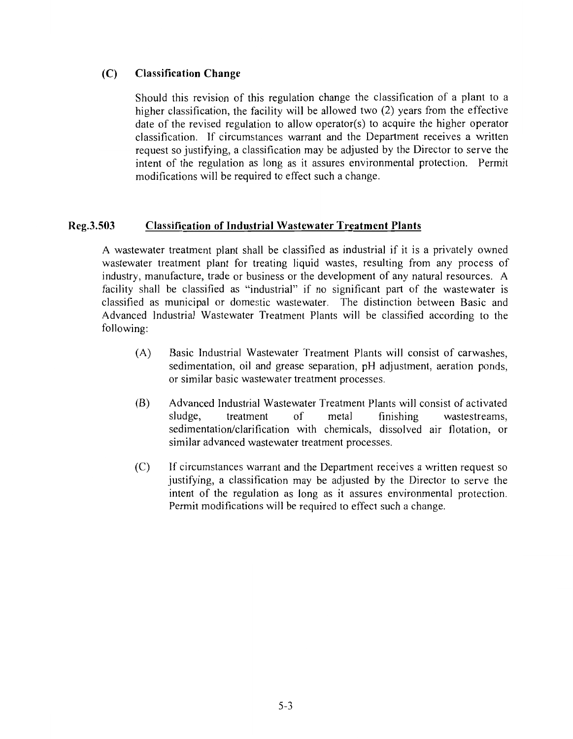### $(C)$ **Classification Change**

Should this revision of this regulation change the classification of a plant to a higher classification, the facility will be allowed two (2) years from the effective date of the revised regulation to allow operator(s) to acquire the higher operator classification. If circumstances warrant and the Department receives a written request so justifying, a classification may be adjusted by the Director to serve the intent of the regulation as long as it assures environmental protection. Permit modifications will be required to effect such a change.

### Reg.3.503 **Classification of Industrial Wastewater Treatment Plants**

A wastewater treatment plant shall be classified as industrial if it is a privately owned wastewater treatment plant for treating liquid wastes, resulting from any process of industry, manufacture, trade or business or the development of any natural resources. A facility shall be classified as "industrial" if no significant part of the wastewater is classified as municipal or domestic wastewater. The distinction between Basic and Advanced Industrial Wastewater Treatment Plants will be classified according to the following:

- $(A)$ Basic Industrial Wastewater Treatment Plants will consist of carwashes. sedimentation, oil and grease separation, pH adjustment, aeration ponds, or similar basic wastewater treatment processes.
- (B) Advanced Industrial Wastewater Treatment Plants will consist of activated sludge, treatment  $\alpha$ f metal finishing wastestreams. sedimentation/clarification with chemicals, dissolved air flotation, or similar advanced wastewater treatment processes.
- $(C)$ If circumstances warrant and the Department receives a written request so justifying, a classification may be adjusted by the Director to serve the intent of the regulation as long as it assures environmental protection. Permit modifications will be required to effect such a change.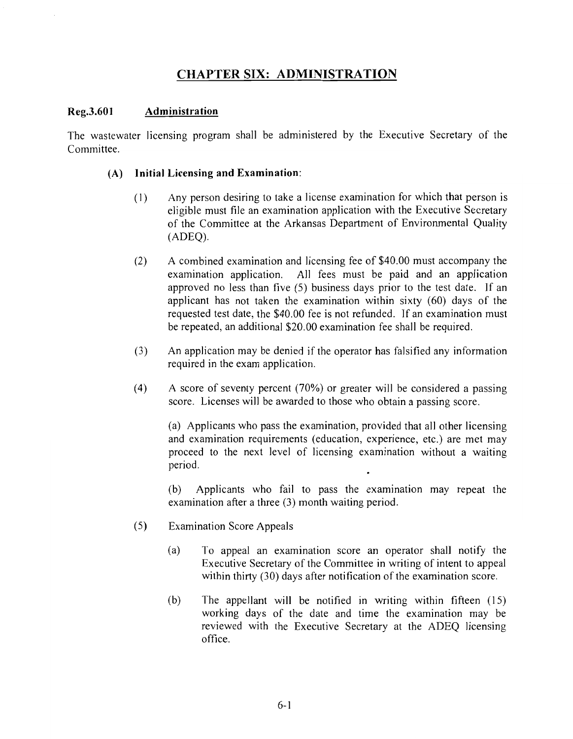### **CHAPTER SIX: ADMINISTRATION**

### Reg.3.601 Administration

The wastewater licensing program shall be administered by the Executive Secretary of the Committee.

### Initial Licensing and Examination:  $(A)$

- Any person desiring to take a license examination for which that person is  $(1)$ eligible must file an examination application with the Executive Secretary of the Committee at the Arkansas Department of Environmental Quality  $(ADEO).$
- A combined examination and licensing fee of \$40.00 must accompany the  $(2)$ examination application. All fees must be paid and an application approved no less than five (5) business days prior to the test date. If an applicant has not taken the examination within sixty (60) days of the requested test date, the \$40.00 fee is not refunded. If an examination must be repeated, an additional \$20.00 examination fee shall be required.
- $(3)$ An application may be denied if the operator has falsified any information required in the exam application.
- $(4)$ A score of seventy percent (70%) or greater will be considered a passing score. Licenses will be awarded to those who obtain a passing score.

(a) Applicants who pass the examination, provided that all other licensing and examination requirements (education, experience, etc.) are met may proceed to the next level of licensing examination without a waiting period.

Applicants who fail to pass the examination may repeat the (b) examination after a three (3) month waiting period.

- $(5)$ **Examination Score Appeals** 
	- $(a)$ To appeal an examination score an operator shall notify the Executive Secretary of the Committee in writing of intent to appeal within thirty (30) days after notification of the examination score.
	- $(b)$ The appellant will be notified in writing within fifteen (15) working days of the date and time the examination may be reviewed with the Executive Secretary at the ADEQ licensing office.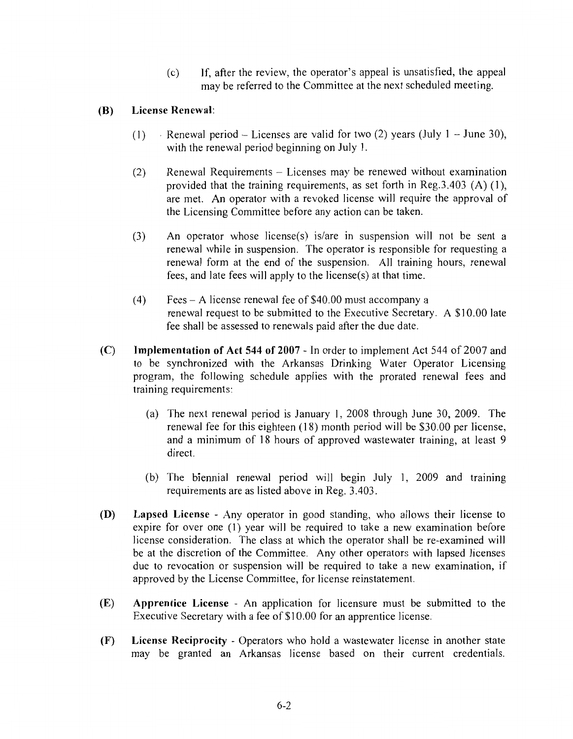If, after the review, the operator's appeal is unsatisfied, the appeal  $(c)$ may be referred to the Committee at the next scheduled meeting.

### (B) License Renewal:

- Renewal period Licenses are valid for two (2) years (July  $1 -$  June 30),  $(1)$ with the renewal period beginning on July 1.
- $(2)$ Renewal Requirements - Licenses may be renewed without examination provided that the training requirements, as set forth in Reg.  $3.403$  (A) (1), are met. An operator with a revoked license will require the approval of the Licensing Committee before any action can be taken.
- An operator whose license(s) is/are in suspension will not be sent a  $(3)$ renewal while in suspension. The operator is responsible for requesting a renewal form at the end of the suspension. All training hours, renewal fees, and late fees will apply to the license(s) at that time.
- $(4)$ Fees – A license renewal fee of \$40.00 must accompany a renewal request to be submitted to the Executive Secretary. A \$10.00 late fee shall be assessed to renewals paid after the due date.
- $(C)$ Implementation of Act 544 of 2007 - In order to implement Act 544 of 2007 and to be synchronized with the Arkansas Drinking Water Operator Licensing program, the following schedule applies with the prorated renewal fees and training requirements:
	- (a) The next renewal period is January 1, 2008 through June 30, 2009. The renewal fee for this eighteen (18) month period will be \$30.00 per license. and a minimum of 18 hours of approved wastewater training, at least 9 direct.
	- (b) The biennial renewal period will begin July 1, 2009 and training requirements are as listed above in Reg. 3.403.
- (D) **Lapsed License** - Any operator in good standing, who allows their license to expire for over one (1) year will be required to take a new examination before license consideration. The class at which the operator shall be re-examined will be at the discretion of the Committee. Any other operators with lapsed licenses due to revocation or suspension will be required to take a new examination, if approved by the License Committee, for license reinstatement.
- $(E)$ Apprentice License - An application for licensure must be submitted to the Executive Secretary with a fee of \$10.00 for an apprentice license.
- $(F)$ **License Reciprocity** - Operators who hold a wastewater license in another state may be granted an Arkansas license based on their current credentials.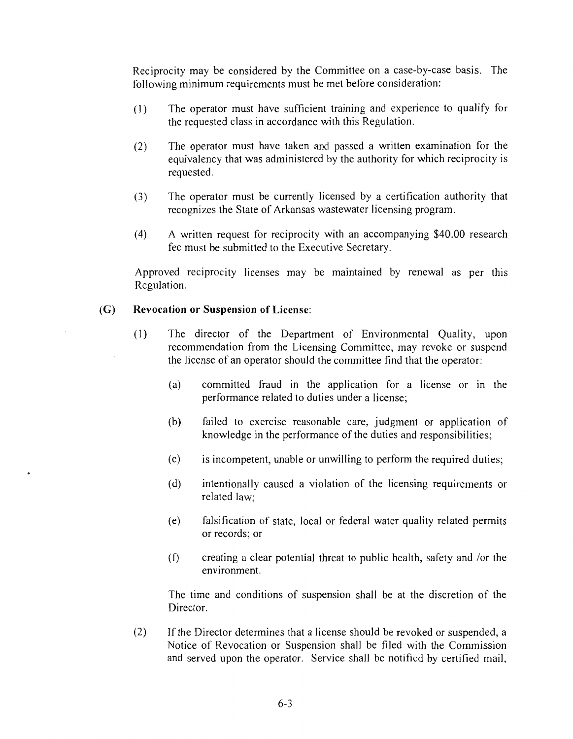Reciprocity may be considered by the Committee on a case-by-case basis. The following minimum requirements must be met before consideration:

- $(1)$ The operator must have sufficient training and experience to qualify for the requested class in accordance with this Regulation.
- $(2)$ The operator must have taken and passed a written examination for the equivalency that was administered by the authority for which reciprocity is requested.
- $(3)$ The operator must be currently licensed by a certification authority that recognizes the State of Arkansas wastewater licensing program.
- $(4)$ A written request for reciprocity with an accompanying \$40.00 research fee must be submitted to the Executive Secretary.

Approved reciprocity licenses may be maintained by renewal as per this Regulation.

#### $(G)$ **Revocation or Suspension of License:**

- $(1)$ The director of the Department of Environmental Quality, upon recommendation from the Licensing Committee, may revoke or suspend the license of an operator should the committee find that the operator:
	- $(a)$ committed fraud in the application for a license or in the performance related to duties under a license;
	- (b) failed to exercise reasonable care, judgment or application of knowledge in the performance of the duties and responsibilities;
	- is incompetent, unable or unwilling to perform the required duties;  $(c)$
	- $(d)$ intentionally caused a violation of the licensing requirements or related law;
	- falsification of state, local or federal water quality related permits  $(e)$ or records; or
	- $(f)$ creating a clear potential threat to public health, safety and /or the environment.

The time and conditions of suspension shall be at the discretion of the Director.

 $(2)$ If the Director determines that a license should be revoked or suspended, a Notice of Revocation or Suspension shall be filed with the Commission and served upon the operator. Service shall be notified by certified mail,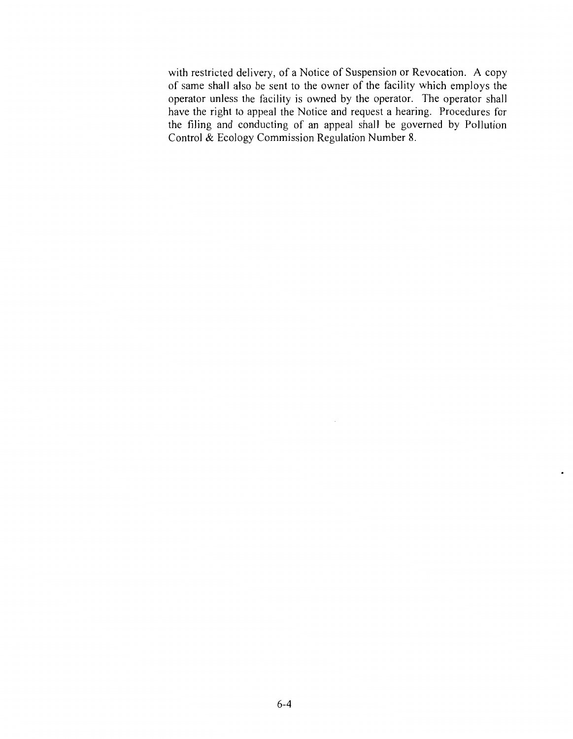with restricted delivery, of a Notice of Suspension or Revocation. A copy of same shall also be sent to the owner of the facility which employs the operator unless the facility is owned by the operator. The operator shall have the right to appeal the Notice and request a hearing. Procedures for the filing and conducting of an appeal shall be governed by Pollution Control & Ecology Commission Regulation Number 8.

 $\bar{\gamma}$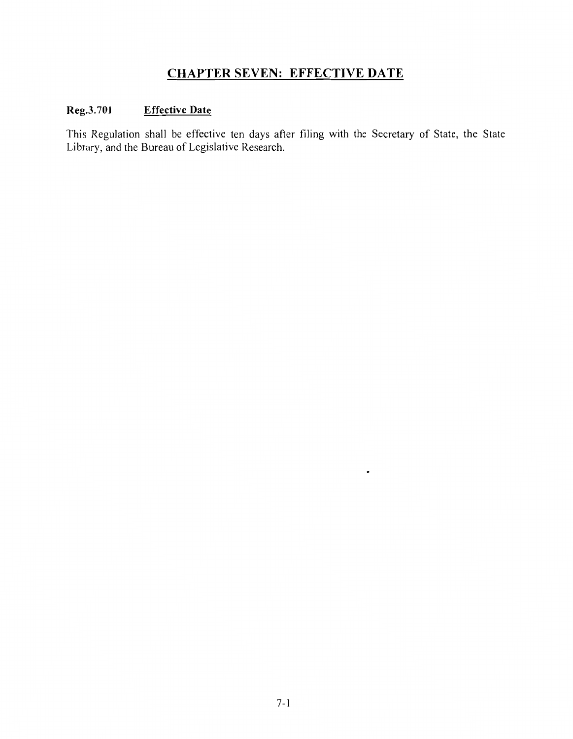### **CHAPTER SEVEN: EFFECTIVE DATE**

### Reg.3.701 **Effective Date**

This Regulation shall be effective ten days after filing with the Secretary of State, the State Library, and the Bureau of Legislative Research.

 $\bullet$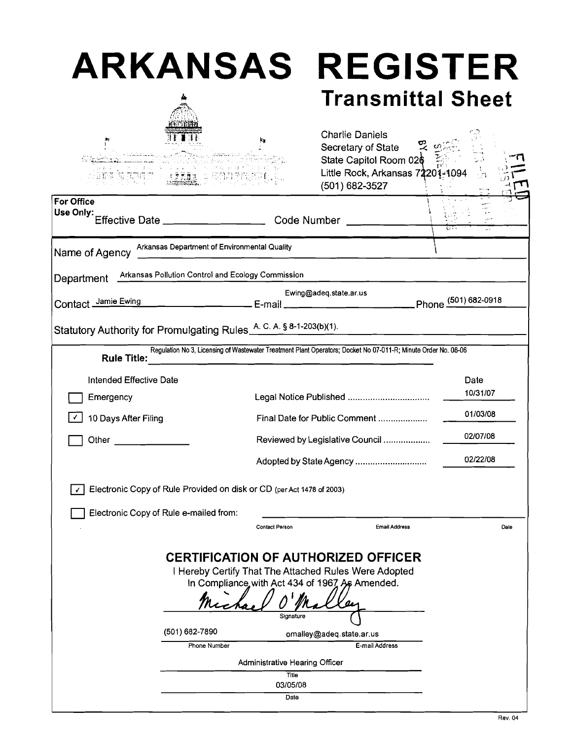| <b>ARKANSAS</b>                                   |                      |                                                                                                                                                                                                                                                                                                                                                                                                                                                                                                                                                                                                                                                                                                                                                                                                                                                                                                                                                                                                                                                            |
|---------------------------------------------------|----------------------|------------------------------------------------------------------------------------------------------------------------------------------------------------------------------------------------------------------------------------------------------------------------------------------------------------------------------------------------------------------------------------------------------------------------------------------------------------------------------------------------------------------------------------------------------------------------------------------------------------------------------------------------------------------------------------------------------------------------------------------------------------------------------------------------------------------------------------------------------------------------------------------------------------------------------------------------------------------------------------------------------------------------------------------------------------|
|                                                   |                      |                                                                                                                                                                                                                                                                                                                                                                                                                                                                                                                                                                                                                                                                                                                                                                                                                                                                                                                                                                                                                                                            |
|                                                   |                      |                                                                                                                                                                                                                                                                                                                                                                                                                                                                                                                                                                                                                                                                                                                                                                                                                                                                                                                                                                                                                                                            |
| Arkansas Department of Environmental Quality      |                      |                                                                                                                                                                                                                                                                                                                                                                                                                                                                                                                                                                                                                                                                                                                                                                                                                                                                                                                                                                                                                                                            |
| Arkansas Pollution Control and Ecology Commission |                      |                                                                                                                                                                                                                                                                                                                                                                                                                                                                                                                                                                                                                                                                                                                                                                                                                                                                                                                                                                                                                                                            |
|                                                   |                      |                                                                                                                                                                                                                                                                                                                                                                                                                                                                                                                                                                                                                                                                                                                                                                                                                                                                                                                                                                                                                                                            |
|                                                   |                      |                                                                                                                                                                                                                                                                                                                                                                                                                                                                                                                                                                                                                                                                                                                                                                                                                                                                                                                                                                                                                                                            |
|                                                   |                      |                                                                                                                                                                                                                                                                                                                                                                                                                                                                                                                                                                                                                                                                                                                                                                                                                                                                                                                                                                                                                                                            |
|                                                   |                      | Date                                                                                                                                                                                                                                                                                                                                                                                                                                                                                                                                                                                                                                                                                                                                                                                                                                                                                                                                                                                                                                                       |
|                                                   |                      | 10/31/07                                                                                                                                                                                                                                                                                                                                                                                                                                                                                                                                                                                                                                                                                                                                                                                                                                                                                                                                                                                                                                                   |
|                                                   |                      | 01/03/08                                                                                                                                                                                                                                                                                                                                                                                                                                                                                                                                                                                                                                                                                                                                                                                                                                                                                                                                                                                                                                                   |
|                                                   |                      | 02/07/08                                                                                                                                                                                                                                                                                                                                                                                                                                                                                                                                                                                                                                                                                                                                                                                                                                                                                                                                                                                                                                                   |
|                                                   |                      | 02/22/08                                                                                                                                                                                                                                                                                                                                                                                                                                                                                                                                                                                                                                                                                                                                                                                                                                                                                                                                                                                                                                                   |
|                                                   |                      |                                                                                                                                                                                                                                                                                                                                                                                                                                                                                                                                                                                                                                                                                                                                                                                                                                                                                                                                                                                                                                                            |
| Electronic Copy of Rule e-mailed from:            |                      |                                                                                                                                                                                                                                                                                                                                                                                                                                                                                                                                                                                                                                                                                                                                                                                                                                                                                                                                                                                                                                                            |
| <b>Contact Person</b>                             | <b>Email Address</b> | Date                                                                                                                                                                                                                                                                                                                                                                                                                                                                                                                                                                                                                                                                                                                                                                                                                                                                                                                                                                                                                                                       |
| Signature<br>Title                                | E-mail Address       |                                                                                                                                                                                                                                                                                                                                                                                                                                                                                                                                                                                                                                                                                                                                                                                                                                                                                                                                                                                                                                                            |
|                                                   |                      | <b>REGISTER</b><br><b>Transmittal Sheet</b><br><b>Charlie Daniels</b><br>Secretary of State<br>State Capitol Room 026<br>Little Rock, Arkansas 72201-1094<br>(501) 682-3527<br>Effective Date __________________________________ Code Number<br>Ewing@adeq.state.ar.us<br>Contact $\frac{\text{Jame Ewing}}{601}$ example $\frac{2}{\sqrt{2}}$ E-mail $\frac{2}{\sqrt{2}}$ example $\frac{2}{\sqrt{2}}$ Phone $\frac{(501)682-0918}{2}$<br>Statutory Authority for Promulgating Rules A. C. A. § 8-1-203(b)(1).<br>Regulation No 3, Licensing of Wastewater Treatment Plant Operators; Docket No 07-011-R; Minute Order No. 08-06<br>Legal Notice Published<br>Final Date for Public Comment<br>Reviewed by Legislative Council<br>Adopted by State Agency<br>Electronic Copy of Rule Provided on disk or CD (per Act 1478 of 2003)<br><b>CERTIFICATION OF AUTHORIZED OFFICER</b><br>I Hereby Certify That The Attached Rules Were Adopted<br>In Compliance with Act 434 of 1967 As Amended.<br>omalley@adeq.state.ar.us<br>Administrative Hearing Officer |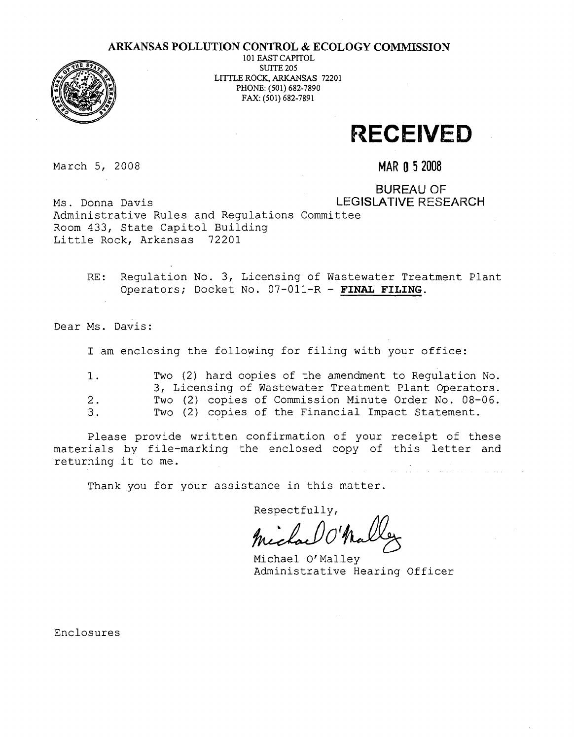### **ARKANSAS POLLUTION CONTROL** & **ECOLOGY COMMISSION**



101 EAST CAPITOL SUITE 205 LITTLE ROCK, ARKANSAS 72201 PHONE: (501) 682-7890 FAX: (501) 682-7891

## **RECEIVED**

March 5, 2008 **MAR 0 5 2008** 

BUREAU OF Ms. Donna Davis **LEGISLATIVE RESEARCH** 

Administrative Rules and Regulations Committee Room 433, State Capitol Building Little Rock, Arkansas 72201

> RE: Regulation No. 3, Licensing of Wastewater Treatment Plant Operators; Docket No. 07-011-R - **FINAL FILING.**

Dear Ms. Davis:

I am enclosing the following for filing with your office:

| 1. | Two (2) hard copies of the amendment to Requiation No. |
|----|--------------------------------------------------------|
|    | 3, Licensing of Wastewater Treatment Plant Operators.  |
| 2. | Two (2) copies of Commission Minute Order No. 08-06.   |
| З. | Two (2) copies of the Financial Impact Statement.      |

Please provide written confirmation of your receipt of these materials by file-marking the enclosed copy of this letter and returning it to me.

Thank you for your assistance in this matter.

Respectfully,

Mechael V Nalley

Michael Or Malley Administrative Hearing Officer

Enclosures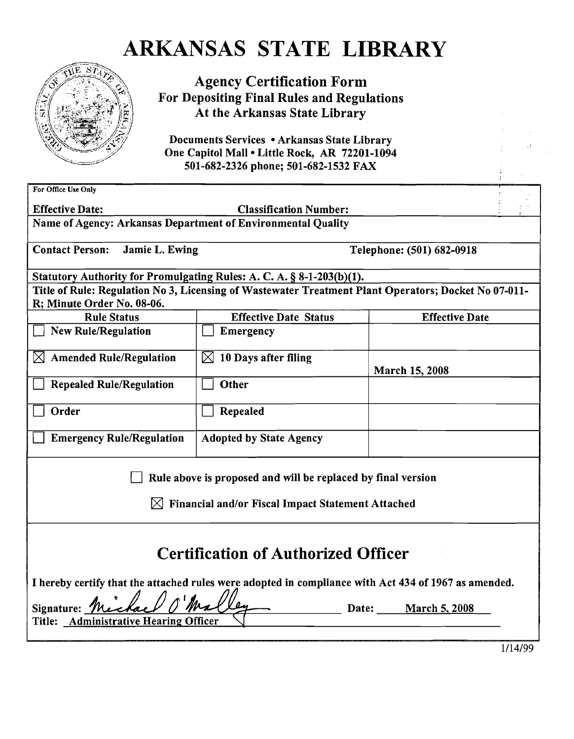## ARKANSAS STATE LIBRARY



Agency Certification Form For Depositing Final Rules and Regulations At the Arkansas State Library

Documents Services . Arkansas State Library One Capitol Mall . Little Rock, AR 72201-1094 501-682-2326 phone; 501-682-1532 FAX

| For Office Use Only                                                                                  |                                                                                                      |                           |  |  |  |  |
|------------------------------------------------------------------------------------------------------|------------------------------------------------------------------------------------------------------|---------------------------|--|--|--|--|
| <b>Effective Date:</b><br><b>Classification Number:</b>                                              |                                                                                                      |                           |  |  |  |  |
| Name of Agency: Arkansas Department of Environmental Quality                                         |                                                                                                      |                           |  |  |  |  |
|                                                                                                      |                                                                                                      |                           |  |  |  |  |
| <b>Contact Person:</b><br>Jamie L. Ewing                                                             |                                                                                                      | Telephone: (501) 682-0918 |  |  |  |  |
|                                                                                                      |                                                                                                      |                           |  |  |  |  |
|                                                                                                      | Statutory Authority for Promulgating Rules: A. C. A. § 8-1-203(b)(1).                                |                           |  |  |  |  |
|                                                                                                      | Title of Rule: Regulation No 3, Licensing of Wastewater Treatment Plant Operators; Docket No 07-011- |                           |  |  |  |  |
| R; Minute Order No. 08-06.                                                                           |                                                                                                      |                           |  |  |  |  |
| <b>Rule Status</b>                                                                                   | <b>Effective Date Status</b>                                                                         | <b>Effective Date</b>     |  |  |  |  |
| <b>New Rule/Regulation</b>                                                                           | <b>Emergency</b>                                                                                     |                           |  |  |  |  |
| <b>Amended Rule/Regulation</b>                                                                       | $\boxtimes$ 10 Days after filing                                                                     |                           |  |  |  |  |
|                                                                                                      |                                                                                                      | March 15, 2008            |  |  |  |  |
| <b>Repealed Rule/Regulation</b>                                                                      | Other                                                                                                |                           |  |  |  |  |
|                                                                                                      |                                                                                                      |                           |  |  |  |  |
| Order                                                                                                | Repealed                                                                                             |                           |  |  |  |  |
|                                                                                                      |                                                                                                      |                           |  |  |  |  |
| <b>Emergency Rule/Regulation</b>                                                                     | <b>Adopted by State Agency</b>                                                                       |                           |  |  |  |  |
|                                                                                                      |                                                                                                      |                           |  |  |  |  |
|                                                                                                      |                                                                                                      |                           |  |  |  |  |
|                                                                                                      | Rule above is proposed and will be replaced by final version                                         |                           |  |  |  |  |
| M                                                                                                    | Financial and/or Fiscal Impact Statement Attached                                                    |                           |  |  |  |  |
|                                                                                                      |                                                                                                      |                           |  |  |  |  |
|                                                                                                      |                                                                                                      |                           |  |  |  |  |
|                                                                                                      |                                                                                                      |                           |  |  |  |  |
| <b>Certification of Authorized Officer</b>                                                           |                                                                                                      |                           |  |  |  |  |
|                                                                                                      |                                                                                                      |                           |  |  |  |  |
| I hereby certify that the attached rules were adopted in compliance with Act 434 of 1967 as amended. |                                                                                                      |                           |  |  |  |  |
| Signature: The<br>Date:<br><b>March 5, 2008</b>                                                      |                                                                                                      |                           |  |  |  |  |
| Title: Administrative Hearing Officer                                                                |                                                                                                      |                           |  |  |  |  |
|                                                                                                      |                                                                                                      |                           |  |  |  |  |
|                                                                                                      |                                                                                                      | 1/14/99                   |  |  |  |  |